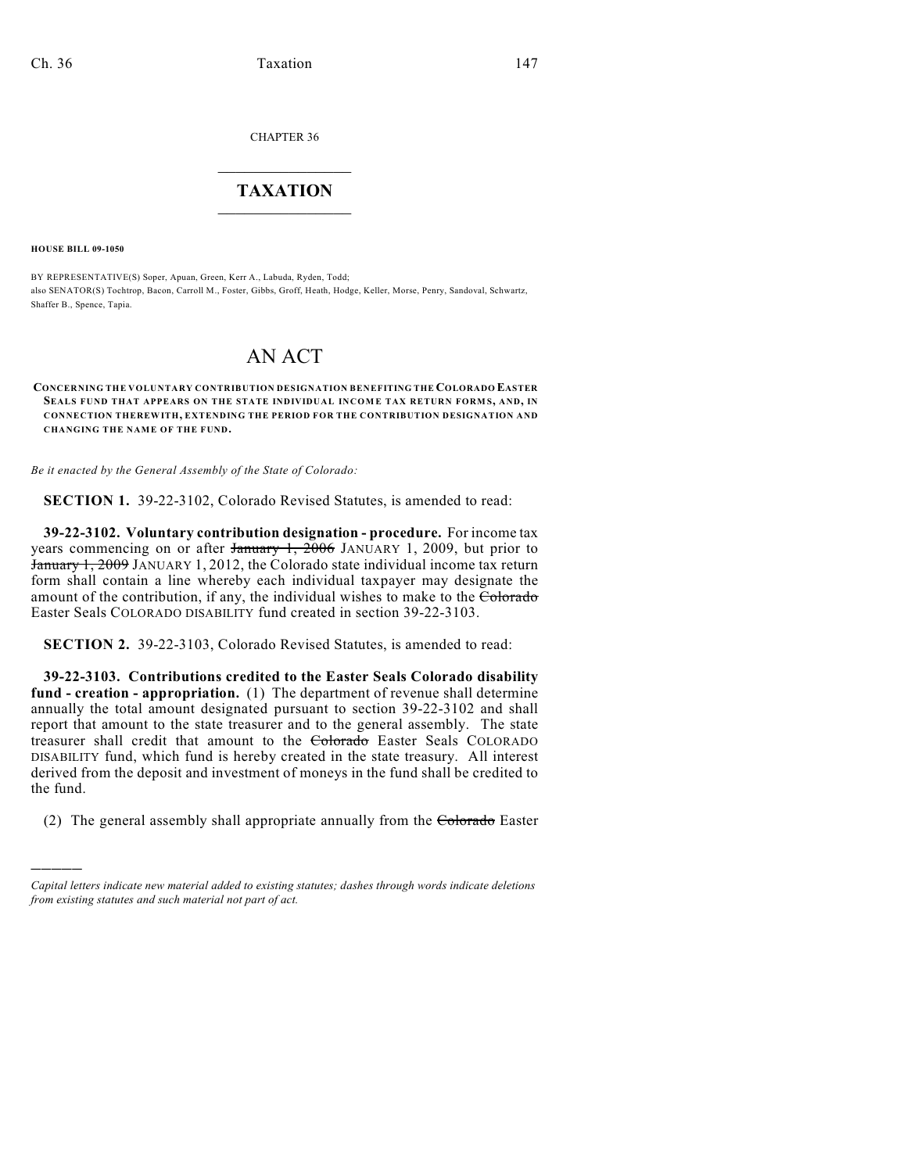CHAPTER 36

## $\overline{\phantom{a}}$  . The set of the set of the set of the set of the set of the set of the set of the set of the set of the set of the set of the set of the set of the set of the set of the set of the set of the set of the set o **TAXATION**  $\_$

**HOUSE BILL 09-1050**

)))))

BY REPRESENTATIVE(S) Soper, Apuan, Green, Kerr A., Labuda, Ryden, Todd; also SENATOR(S) Tochtrop, Bacon, Carroll M., Foster, Gibbs, Groff, Heath, Hodge, Keller, Morse, Penry, Sandoval, Schwartz, Shaffer B., Spence, Tapia.

## AN ACT

## **CONCERNING THE VOLUNTARY CONTRIBUTION DESIGNATION BENEFITING THE COLORADO EASTER SEALS FUND THAT APPEARS ON THE STATE INDIVIDUAL INCOME TAX RETURN FORMS, AND, IN CONNECTION THEREWITH, EXTENDING THE PERIOD FOR THE CONTRIBUTION DESIGNATION AND CHANGING THE NAME OF THE FUND.**

*Be it enacted by the General Assembly of the State of Colorado:*

**SECTION 1.** 39-22-3102, Colorado Revised Statutes, is amended to read:

**39-22-3102. Voluntary contribution designation - procedure.** For income tax years commencing on or after  $\frac{1}{2006}$  JANUARY 1, 2009, but prior to January 1, 2009 JANUARY 1, 2012, the Colorado state individual income tax return form shall contain a line whereby each individual taxpayer may designate the amount of the contribution, if any, the individual wishes to make to the Colorado Easter Seals COLORADO DISABILITY fund created in section 39-22-3103.

**SECTION 2.** 39-22-3103, Colorado Revised Statutes, is amended to read:

**39-22-3103. Contributions credited to the Easter Seals Colorado disability fund - creation - appropriation.** (1) The department of revenue shall determine annually the total amount designated pursuant to section 39-22-3102 and shall report that amount to the state treasurer and to the general assembly. The state treasurer shall credit that amount to the Colorado Easter Seals COLORADO DISABILITY fund, which fund is hereby created in the state treasury. All interest derived from the deposit and investment of moneys in the fund shall be credited to the fund.

(2) The general assembly shall appropriate annually from the Colorado Easter

*Capital letters indicate new material added to existing statutes; dashes through words indicate deletions from existing statutes and such material not part of act.*